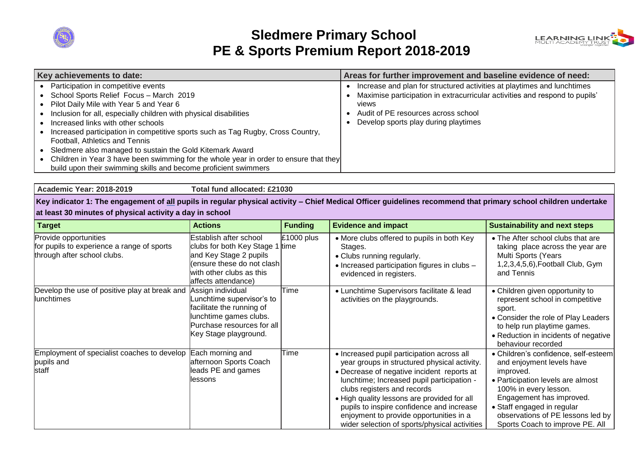

## **Sledmere Primary School PE & Sports Premium Report 2018-2019**



| Key achievements to date:                                                             | Areas for further improvement and baseline evidence of need:                |
|---------------------------------------------------------------------------------------|-----------------------------------------------------------------------------|
| Participation in competitive events                                                   | Increase and plan for structured activities at playtimes and lunchtimes     |
| School Sports Relief Focus - March 2019                                               | Maximise participation in extracurricular activities and respond to pupils' |
| Pilot Daily Mile with Year 5 and Year 6                                               | views                                                                       |
| Inclusion for all, especially children with physical disabilities                     | Audit of PE resources across school                                         |
| Increased links with other schools                                                    | Develop sports play during playtimes                                        |
| Increased participation in competitive sports such as Tag Rugby, Cross Country,       |                                                                             |
| Football, Athletics and Tennis                                                        |                                                                             |
| Sledmere also managed to sustain the Gold Kitemark Award                              |                                                                             |
| Children in Year 3 have been swimming for the whole year in order to ensure that they |                                                                             |
| build upon their swimming skills and become proficient swimmers                       |                                                                             |

**Academic Year: 2018-2019 Total fund allocated: £21030 Key indicator 1: The engagement of all pupils in regular physical activity – Chief Medical Officer guidelines recommend that primary school children undertake at least 30 minutes of physical activity a day in school Target Actions Funding Evidence and impact Sustainability and next steps Funding Evidence and impact Sustainability and next steps** Establish after school £1000 plus More clubs offered to pupils in both Key The After school clubs that are

| Provide opportunities<br>for pupils to experience a range of sports<br>through after school clubs. | Establish after school<br>clubs for both Key Stage 1 time<br>and Key Stage 2 pupils<br>(ensure these do not clash)<br>with other clubs as this<br>affects attendance) | $£1000$ plus | • More clubs offered to pupils in both Key<br>Stages.<br>• Clubs running regularly.<br>• Increased participation figures in clubs -<br>evidenced in registers.                                                                                                                                                                                                                                                | • The After school clubs that are<br>taking place across the year are<br>Multi Sports (Years<br>1,2,3,4,5,6), Football Club, Gym<br>and Tennis                                                                                                                                 |
|----------------------------------------------------------------------------------------------------|-----------------------------------------------------------------------------------------------------------------------------------------------------------------------|--------------|---------------------------------------------------------------------------------------------------------------------------------------------------------------------------------------------------------------------------------------------------------------------------------------------------------------------------------------------------------------------------------------------------------------|--------------------------------------------------------------------------------------------------------------------------------------------------------------------------------------------------------------------------------------------------------------------------------|
| Develop the use of positive play at break and<br>lunchtimes                                        | Assign individual<br>unchtime supervisor's to<br>facilitate the running of<br>unchtime games clubs.<br>Purchase resources for all<br>Key Stage playground.            | Time         | • Lunchtime Supervisors facilitate & lead<br>activities on the playgrounds.                                                                                                                                                                                                                                                                                                                                   | • Children given opportunity to<br>represent school in competitive<br>sport.<br>• Consider the role of Play Leaders<br>to help run playtime games.<br>• Reduction in incidents of negative<br>behaviour recorded                                                               |
| Employment of specialist coaches to develop<br>pupils and<br><b>Istaff</b>                         | Each morning and<br>afternoon Sports Coach<br>leads PE and games<br>lessons                                                                                           | Time         | • Increased pupil participation across all<br>year groups in structured physical activity.<br>• Decrease of negative incident reports at<br>lunchtime; Increased pupil participation -<br>clubs registers and records<br>. High quality lessons are provided for all<br>pupils to inspire confidence and increase<br>enjoyment to provide opportunities in a<br>wider selection of sports/physical activities | · Children's confidence, self-esteem<br>and enjoyment levels have<br>improved.<br>• Participation levels are almost<br>100% in every lesson.<br>Engagement has improved.<br>• Staff engaged in regular<br>observations of PE lessons led by<br>Sports Coach to improve PE. All |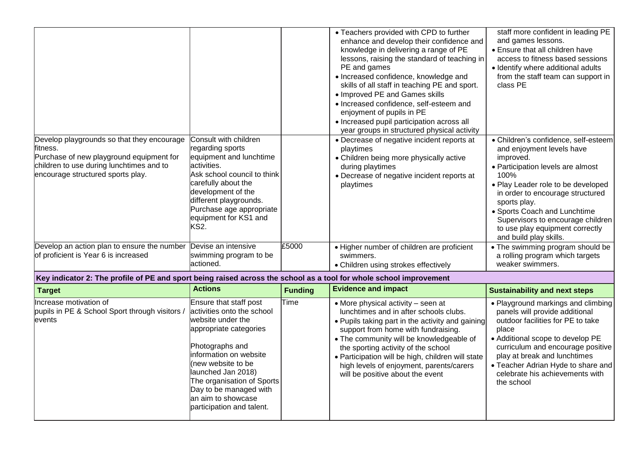|                                                                                                                                                                                     |                                                                                                                                                                                                                                                                                                         |                | • Teachers provided with CPD to further<br>enhance and develop their confidence and<br>knowledge in delivering a range of PE<br>lessons, raising the standard of teaching in<br>PE and games<br>· Increased confidence, knowledge and<br>skills of all staff in teaching PE and sport.<br>• Improved PE and Games skills<br>· Increased confidence, self-esteem and<br>enjoyment of pupils in PE<br>• Increased pupil participation across all<br>year groups in structured physical activity | staff more confident in leading PE<br>and games lessons.<br>• Ensure that all children have<br>access to fitness based sessions<br>· Identify where additional adults<br>from the staff team can support in<br>class PE                                                                                                                                 |
|-------------------------------------------------------------------------------------------------------------------------------------------------------------------------------------|---------------------------------------------------------------------------------------------------------------------------------------------------------------------------------------------------------------------------------------------------------------------------------------------------------|----------------|-----------------------------------------------------------------------------------------------------------------------------------------------------------------------------------------------------------------------------------------------------------------------------------------------------------------------------------------------------------------------------------------------------------------------------------------------------------------------------------------------|---------------------------------------------------------------------------------------------------------------------------------------------------------------------------------------------------------------------------------------------------------------------------------------------------------------------------------------------------------|
| Develop playgrounds so that they encourage<br>fitness.<br>Purchase of new playground equipment for<br>children to use during lunchtimes and to<br>encourage structured sports play. | Consult with children<br>regarding sports<br>equipment and lunchtime<br>activities.<br>Ask school council to think<br>carefully about the<br>development of the<br>different playgrounds.<br>Purchase age appropriate<br>equipment for KS1 and<br>KS2.                                                  |                | • Decrease of negative incident reports at<br>playtimes<br>• Children being more physically active<br>during playtimes<br>• Decrease of negative incident reports at<br>playtimes                                                                                                                                                                                                                                                                                                             | · Children's confidence, self-esteem<br>and enjoyment levels have<br>improved.<br>• Participation levels are almost<br>100%<br>• Play Leader role to be developed<br>in order to encourage structured<br>sports play.<br>• Sports Coach and Lunchtime<br>Supervisors to encourage children<br>to use play equipment correctly<br>and build play skills. |
| Develop an action plan to ensure the number<br>of proficient is Year 6 is increased                                                                                                 | Devise an intensive<br>swimming program to be<br>actioned.                                                                                                                                                                                                                                              | £5000          | • Higher number of children are proficient<br>swimmers.<br>• Children using strokes effectively                                                                                                                                                                                                                                                                                                                                                                                               | • The swimming program should be<br>a rolling program which targets<br>weaker swimmers.                                                                                                                                                                                                                                                                 |
| Key indicator 2: The profile of PE and sport being raised across the school as a tool for whole school improvement                                                                  |                                                                                                                                                                                                                                                                                                         |                |                                                                                                                                                                                                                                                                                                                                                                                                                                                                                               |                                                                                                                                                                                                                                                                                                                                                         |
| <b>Target</b>                                                                                                                                                                       | <b>Actions</b>                                                                                                                                                                                                                                                                                          | <b>Funding</b> | <b>Evidence and impact</b>                                                                                                                                                                                                                                                                                                                                                                                                                                                                    | <b>Sustainability and next steps</b>                                                                                                                                                                                                                                                                                                                    |
| Increase motivation of<br>pupils in PE & School Sport through visitors /<br>events                                                                                                  | Ensure that staff post<br>activities onto the school<br>website under the<br>appropriate categories<br>Photographs and<br>information on website<br>(new website to be<br>launched Jan 2018)<br>The organisation of Sports<br>Day to be managed with<br>an aim to showcase<br>participation and talent. | Time           | • More physical activity - seen at<br>lunchtimes and in after schools clubs.<br>• Pupils taking part in the activity and gaining<br>support from home with fundraising.<br>• The community will be knowledgeable of<br>the sporting activity of the school<br>• Participation will be high, children will state<br>high levels of enjoyment, parents/carers<br>will be positive about the event                                                                                               | • Playground markings and climbing<br>panels will provide additional<br>outdoor facilities for PE to take<br>place<br>• Additional scope to develop PE<br>curriculum and encourage positive<br>play at break and lunchtimes<br>• Teacher Adrian Hyde to share and<br>celebrate his achievements with<br>the school                                      |